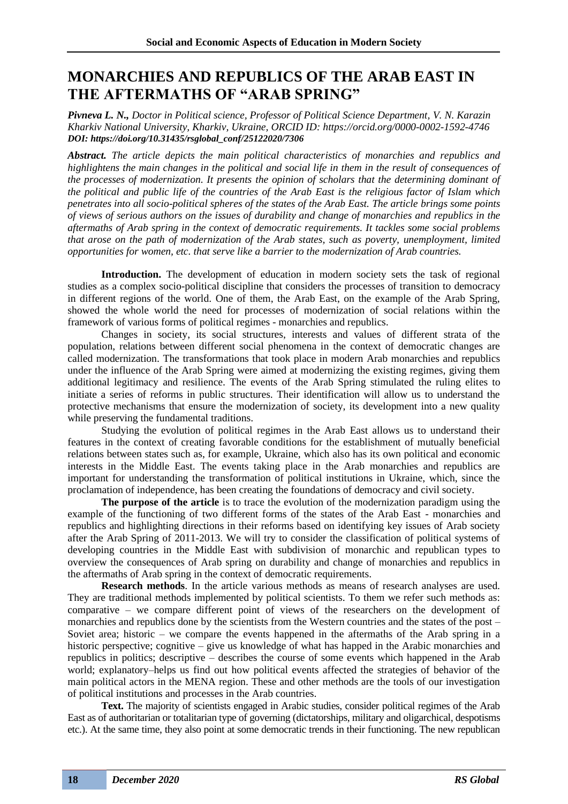## **MONARCHIES AND REPUBLICS OF THE ARAB EAST IN THE AFTERMATHS OF "ARAB SPRING"**

*Pivneva L. N., Doctor in Political science, Professor of Political Science Department, V. N. Karazin Kharkiv National University, Kharkiv, Ukraine, ORCID ID: https://orcid.org/0000-0002-1592-4746 DOI: https://doi.org/10.31435/rsglobal\_conf/25122020/7306*

*Abstract. The article depicts the main political characteristics of monarchies and republics and highlightens the main changes in the political and social life in them in the result of consequences of the processes of modernization. It presents the opinion of scholars that the determining dominant of the political and public life of the countries of the Arab East is the religious factor of Islam which penetrates into all socio-political spheres of the states of the Arab East. The article brings some points of views of serious authors on the issues of durability and change of monarchies and republics in the aftermaths of Arab spring in the context of democratic requirements. It tackles some social problems that arose on the path of modernization of the Arab states, such as poverty, unemployment, limited opportunities for women, etc. that serve like a barrier to the modernization of Arab countries.*

**Introduction.** The development of education in modern society sets the task of regional studies as a complex socio-political discipline that considers the processes of transition to democracy in different regions of the world. One of them, the Arab East, on the example of the Arab Spring, showed the whole world the need for processes of modernization of social relations within the framework of various forms of political regimes - monarchies and republics.

Changes in society, its social structures, interests and values of different strata of the population, relations between different social phenomena in the context of democratic changes are called modernization. The transformations that took place in modern Arab monarchies and republics under the influence of the Arab Spring were aimed at modernizing the existing regimes, giving them additional legitimacy and resilience. The events of the Arab Spring stimulated the ruling elites to initiate a series of reforms in public structures. Their identification will allow us to understand the protective mechanisms that ensure the modernization of society, its development into a new quality while preserving the fundamental traditions.

Studying the evolution of political regimes in the Arab East allows us to understand their features in the context of creating favorable conditions for the establishment of mutually beneficial relations between states such as, for example, Ukraine, which also has its own political and economic interests in the Middle East. The events taking place in the Arab monarchies and republics are important for understanding the transformation of political institutions in Ukraine, which, since the proclamation of independence, has been creating the foundations of democracy and civil society.

**The purpose of the article** is to trace the evolution of the modernization paradigm using the example of the functioning of two different forms of the states of the Arab East - monarchies and republics and highlighting directions in their reforms based on identifying key issues of Arab society after the Arab Spring of 2011-2013. We will try to consider the classification of political systems of developing countries in the Middle East with subdivision of monarchic and republican types to overview the consequences of Arab spring on durability and change of monarchies and republics in the aftermaths of Arab spring in the context of democratic requirements.

**Research methods**. In the article various methods as means of research analyses are used. They are traditional methods implemented by political scientists. To them we refer such methods as: comparative – we compare different point of views of the researchers on the development of monarchies and republics done by the scientists from the Western countries and the states of the post – Soviet area; historic – we compare the events happened in the aftermaths of the Arab spring in a historic perspective; cognitive – give us knowledge of what has happed in the Arabic monarchies and republics in politics; descriptive – describes the course of some events which happened in the Arab world; explanatory–helps us find out how political events affected the strategies of behavior of the main political actors in the MENA region. These and other methods are the tools of our investigation of political institutions and processes in the Arab countries.

**Text.** The majority of scientists engaged in Arabic studies, consider political regimes of the Arab East as of authoritarian or totalitarian type of governing (dictatorships, military and oligarchical, despotisms etc.). At the same time, they also point at some democratic trends in their functioning. The new republican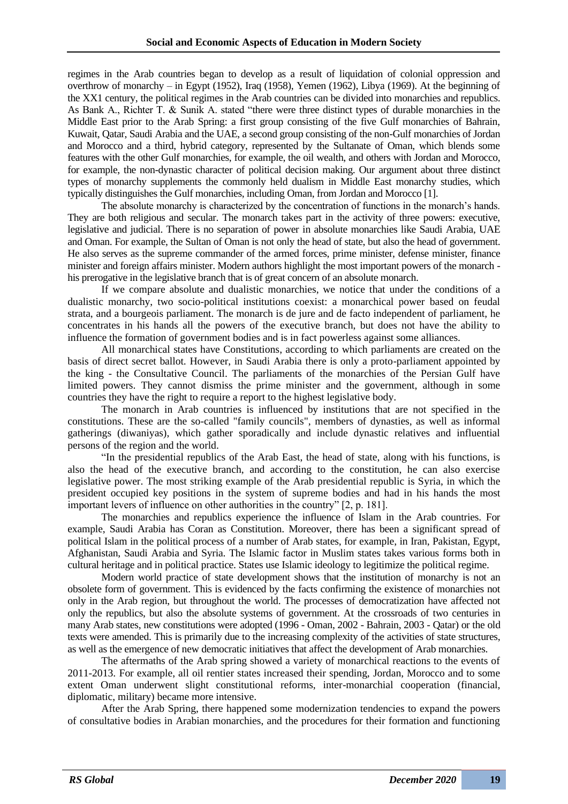regimes in the Arab countries began to develop as a result of liquidation of colonial oppression and overthrow of monarchy – in Egypt (1952), Iraq (1958), Yemen (1962), Libya (1969). At the beginning of the XX1 century, the political regimes in the Arab countries can be divided into monarchies and republics. As Bank A., Richter T. & Sunik A. stated "there were three distinct types of durable monarchies in the Middle East prior to the Arab Spring: a first group consisting of the five Gulf monarchies of Bahrain, Kuwait, Qatar, Saudi Arabia and the UAE, a second group consisting of the non-Gulf monarchies of Jordan and Morocco and a third, hybrid category, represented by the Sultanate of Oman, which blends some features with the other Gulf monarchies, for example, the oil wealth, and others with Jordan and Morocco, for example, the non-dynastic character of political decision making. Our argument about three distinct types of monarchy supplements the commonly held dualism in Middle East monarchy studies, which typically distinguishes the Gulf monarchies, including Oman, from Jordan and Morocco [1].

The absolute monarchy is characterized by the concentration of functions in the monarch's hands. They are both religious and secular. The monarch takes part in the activity of three powers: executive, legislative and judicial. There is no separation of power in absolute monarchies like Saudi Arabia, UAE and Oman. For example, the Sultan of Oman is not only the head of state, but also the head of government. He also serves as the supreme commander of the armed forces, prime minister, defense minister, finance minister and foreign affairs minister. Modern authors highlight the most important powers of the monarch his prerogative in the legislative branch that is of great concern of an absolute monarch.

If we compare absolute and dualistic monarchies, we notice that under the conditions of a dualistic monarchy, two socio-political institutions coexist: a monarchical power based on feudal strata, and a bourgeois parliament. The monarch is de jure and de facto independent of parliament, he concentrates in his hands all the powers of the executive branch, but does not have the ability to influence the formation of government bodies and is in fact powerless against some alliances.

All monarchical states have Constitutions, according to which parliaments are created on the basis of direct secret ballot. However, in Saudi Arabia there is only a proto-parliament appointed by the king - the Consultative Council. The parliaments of the monarchies of the Persian Gulf have limited powers. They cannot dismiss the prime minister and the government, although in some countries they have the right to require a report to the highest legislative body.

The monarch in Arab countries is influenced by institutions that are not specified in the constitutions. These are the so-called "family councils", members of dynasties, as well as informal gatherings (diwaniyas), which gather sporadically and include dynastic relatives and influential persons of the region and the world.

"In the presidential republics of the Arab East, the head of state, along with his functions, is also the head of the executive branch, and according to the constitution, he can also exercise legislative power. The most striking example of the Arab presidential republic is Syria, in which the president occupied key positions in the system of supreme bodies and had in his hands the most important levers of influence on other authorities in the country" [2, p. 181].

The monarchies and republics experience the influence of Islam in the Arab countries. For example, Saudi Arabia has Coran as Constitution. Moreover, there has been a significant spread of political Islam in the political process of a number of Arab states, for example, in Iran, Pakistan, Egypt, Afghanistan, Saudi Arabia and Syria. The Islamic factor in Muslim states takes various forms both in cultural heritage and in political practice. States use Islamic ideology to legitimize the political regime.

Modern world practice of state development shows that the institution of monarchy is not an obsolete form of government. This is evidenced by the facts confirming the existence of monarchies not only in the Arab region, but throughout the world. The processes of democratization have affected not only the republics, but also the absolute systems of government. At the crossroads of two centuries in many Arab states, new constitutions were adopted (1996 - Oman, 2002 - Bahrain, 2003 - Qatar) or the old texts were amended. This is primarily due to the increasing complexity of the activities of state structures, as well as the emergence of new democratic initiatives that affect the development of Arab monarchies.

The aftermaths of the Arab spring showed a variety of monarchical reactions to the events of 2011-2013. For example, all oil rentier states increased their spending, Jordan, Morocco and to some extent Oman underwent slight constitutional reforms, inter-monarchial cooperation (financial, diplomatic, military) became more intensive.

After the Arab Spring, there happened some modernization tendencies to expand the powers of consultative bodies in Arabian monarchies, and the procedures for their formation and functioning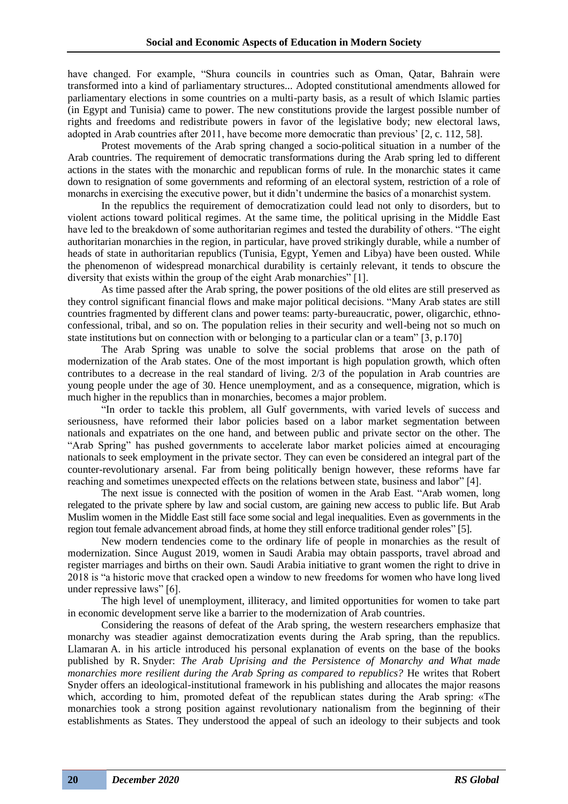have changed. For example, "Shura councils in countries such as Oman, Qatar, Bahrain were transformed into a kind of parliamentary structures... Adopted constitutional amendments allowed for parliamentary elections in some countries on a multi-party basis, as a result of which Islamic parties (in Egypt and Tunisia) came to power. The new constitutions provide the largest possible number of rights and freedoms and redistribute powers in favor of the legislative body; new electoral laws, adopted in Arab countries after 2011, have become more democratic than previous' [2, c. 112, 58].

Protest movements of the Arab spring changed a socio-political situation in a number of the Arab countries. The requirement of democratic transformations during the Arab spring led to different actions in the states with the monarchic and republican forms of rule. In the monarchic states it came down to resignation of some governments and reforming of an electoral system, restriction of a role of monarchs in exercising the executive power, but it didn't undermine the basics of a monarchist system.

In the republics the requirement of democratization could lead not only to disorders, but to violent actions toward political regimes. At the same time, the political uprising in the Middle East have led to the breakdown of some authoritarian regimes and tested the durability of others. "The eight authoritarian monarchies in the region, in particular, have proved strikingly durable, while a number of heads of state in authoritarian republics (Tunisia, Egypt, Yemen and Libya) have been ousted. While the phenomenon of widespread monarchical durability is certainly relevant, it tends to obscure the diversity that exists within the group of the eight Arab monarchies" [1].

As time passed after the Arab spring, the power positions of the old elites are still preserved as they control significant financial flows and make major political decisions. "Many Arab states are still countries fragmented by different clans and power teams: party-bureaucratic, power, oligarchic, ethnoconfessional, tribal, and so on. The population relies in their security and well-being not so much on state institutions but on connection with or belonging to a particular clan or a team" [3, p.170]

The Arab Spring was unable to solve the social problems that arose on the path of modernization of the Arab states. One of the most important is high population growth, which often contributes to a decrease in the real standard of living. 2/3 of the population in Arab countries are young people under the age of 30. Hence unemployment, and as a consequence, migration, which is much higher in the republics than in monarchies, becomes a major problem.

"In order to tackle this problem, all Gulf governments, with varied levels of success and seriousness, have reformed their labor policies based on a labor market segmentation between nationals and expatriates on the one hand, and between public and private sector on the other. The "Arab Spring" has pushed governments to accelerate labor market policies aimed at encouraging nationals to seek employment in the private sector. They can even be considered an integral part of the counter-revolutionary arsenal. Far from being politically benign however, these reforms have far reaching and sometimes unexpected effects on the relations between state, business and labor" [4].

The next issue is connected with the position of women in the Arab East. "Arab women, long relegated to the private sphere by law and social custom, are gaining new access to public life. But Arab Muslim women in the Middle East still face some social and legal inequalities. Even as governments in the region tout female advancement abroad finds, at home they still enforce traditional gender roles" [5].

New modern tendencies come to the ordinary life of people in monarchies as the result of modernization. Since August 2019, women in Saudi Arabia may obtain passports, travel abroad and register marriages and births on their own. Saudi Arabia initiative to grant women the right to drive in 2018 is "a historic move that cracked open a window to new freedoms for women who have long lived under repressive laws" [6].

The high level of unemployment, illiteracy, and limited opportunities for women to take part in economic development serve like a barrier to the modernization of Arab countries.

Considering the reasons of defeat of the Arab spring, the western researchers emphasize that monarchy was steadier against democratization events during the Arab spring, than the republics. Llamaran A. in his article introduced his personal explanation of events on the base of the books published by R. Snyder: *The Arab Uprising and the Persistence of Monarchy and What made monarchies more resilient during the Arab Spring as compared to republics?* He writes that Robert Snyder offers an ideological-institutional framework in his publishing and allocates the major reasons which, according to him, promoted defeat of the republican states during the Arab spring: «The monarchies took a strong position against revolutionary nationalism from the beginning of their establishments as States. They understood the appeal of such an ideology to their subjects and took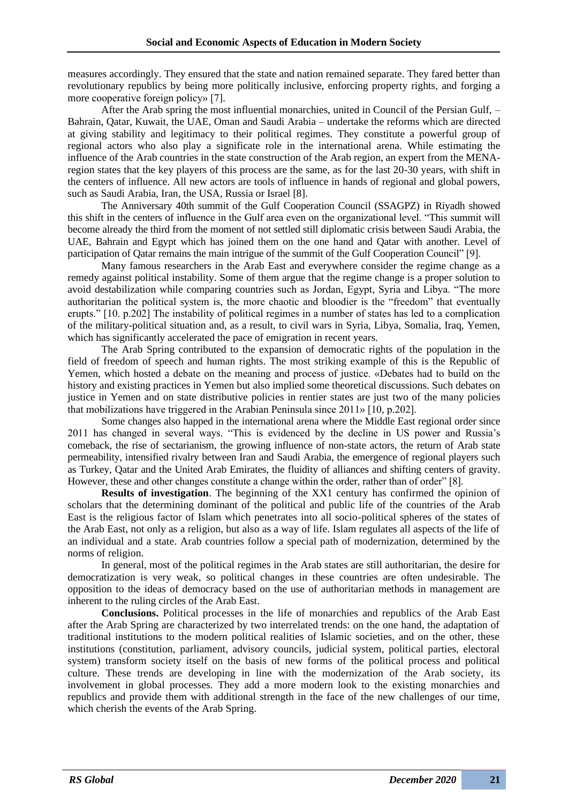measures accordingly. They ensured that the state and nation remained separate. They fared better than revolutionary republics by being more politically inclusive, enforcing property rights, and forging a more cooperative foreign policy» [7].

After the Arab spring the most influential monarchies, united in Council of the Persian Gulf, – Bahrain, Qatar, Kuwait, the UAE, Oman and Saudi Arabia – undertake the reforms which are directed at giving stability and legitimacy to their political regimes. They constitute a powerful group of regional actors who also play a significate role in the international arena. While estimating the influence of the Arab countries in the state construction of the Arab region, an expert from the MENAregion states that the key players of this process are the same, as for the last 20-30 years, with shift in the centers of influence. All new actors are tools of influence in hands of regional and global powers, such as Saudi Arabia, Iran, the USA, Russia or Israel [8].

The Anniversary 40th summit of the Gulf Cooperation Council (SSAGPZ) in Riyadh showed this shift in the centers of influence in the Gulf area even on the organizational level. "This summit will become already the third from the moment of not settled still diplomatic crisis between Saudi Arabia, the UAE, Bahrain and Egypt which has joined them on the one hand and Qatar with another. Level of participation of Qatar remains the main intrigue of the summit of the Gulf Cooperation Council" [9].

Many famous researchers in the Arab East and everywhere consider the regime change as a remedy against political instability. Some of them argue that the regime change is a proper solution to avoid destabilization while comparing countries such as Jordan, Egypt, Syria and Libya. "The more authoritarian the political system is, the more chaotic and bloodier is the "freedom" that eventually erupts." [10. p.202] The instability of political regimes in a number of states has led to a complication of the military-political situation and, as a result, to civil wars in Syria, Libya, Somalia, Iraq, Yemen, which has significantly accelerated the pace of emigration in recent years.

The Arab Spring contributed to the expansion of democratic rights of the population in the field of freedom of speech and human rights. The most striking example of this is the Republic of Yemen, which hosted a debate on the meaning and process of justice. «Debates had to build on the history and existing practices in Yemen but also implied some theoretical discussions. Such debates on justice in Yemen and on state distributive policies in rentier states are just two of the many policies that mobilizations have triggered in the Arabian Peninsula since 2011» [10, p.202].

Some changes also happed in the international arena where the Middle East regional order since 2011 has changed in several ways. "This is evidenced by the decline in US power and Russia's comeback, the rise of sectarianism, the growing influence of non-state actors, the return of Arab state permeability, intensified rivalry between Iran and Saudi Arabia, the emergence of regional players such as Turkey, Qatar and the United Arab Emirates, the fluidity of alliances and shifting centers of gravity. However, these and other changes constitute a change within the order, rather than of order" [8].

**Results of investigation**. The beginning of the XX1 century has confirmed the opinion of scholars that the determining dominant of the political and public life of the countries of the Arab East is the religious factor of Islam which penetrates into all socio-political spheres of the states of the Arab East, not only as a religion, but also as a way of life. Islam regulates all aspects of the life of an individual and a state. Arab countries follow a special path of modernization, determined by the norms of religion.

In general, most of the political regimes in the Arab states are still authoritarian, the desire for democratization is very weak, so political changes in these countries are often undesirable. The opposition to the ideas of democracy based on the use of authoritarian methods in management are inherent to the ruling circles of the Arab East.

**Conclusions.** Political processes in the life of monarchies and republics of the Arab East after the Arab Spring are characterized by two interrelated trends: on the one hand, the adaptation of traditional institutions to the modern political realities of Islamic societies, and on the other, these institutions (constitution, parliament, advisory councils, judicial system, political parties, electoral system) transform society itself on the basis of new forms of the political process and political culture. These trends are developing in line with the modernization of the Arab society, its involvement in global processes. They add a more modern look to the existing monarchies and republics and provide them with additional strength in the face of the new challenges of our time, which cherish the events of the Arab Spring.